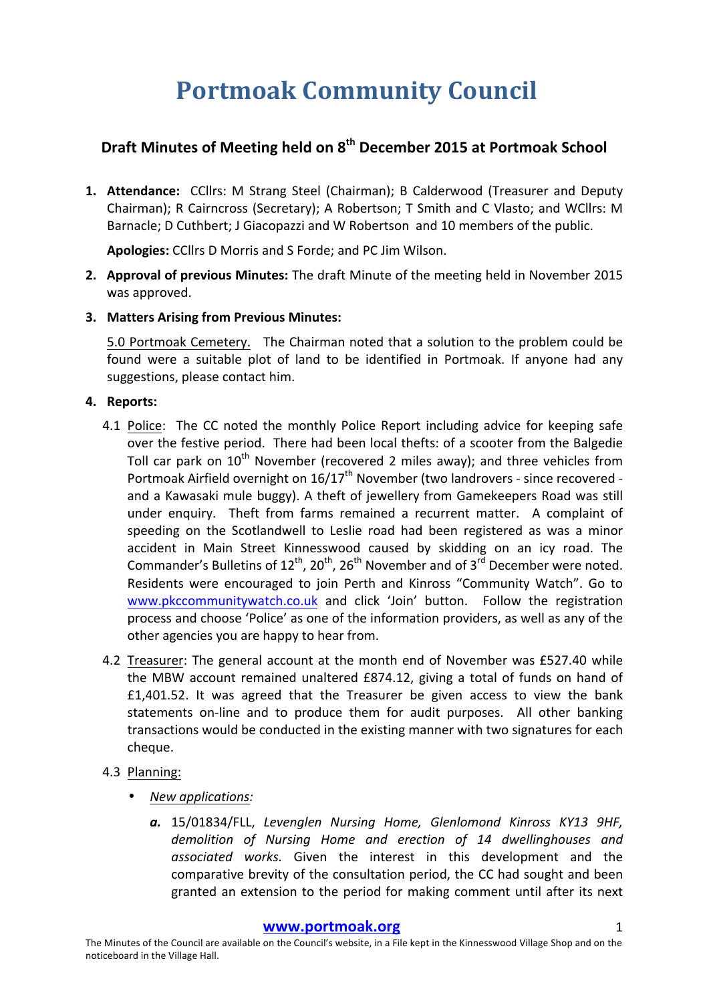# **Portmoak Community Council**

## **Draft Minutes of Meeting held on 8th December 2015 at Portmoak School**

**1. Attendance:** CCllrs: M Strang Steel (Chairman); B Calderwood (Treasurer and Deputy Chairman); R Cairncross (Secretary); A Robertson; T Smith and C Vlasto; and WCllrs: M Barnacle; D Cuthbert; J Giacopazzi and W Robertson and 10 members of the public.

Apologies: CCllrs D Morris and S Forde; and PC Jim Wilson.

- **2. Approval of previous Minutes:** The draft Minute of the meeting held in November 2015 was approved.
- **3. Matters Arising from Previous Minutes:**

5.0 Portmoak Cemetery. The Chairman noted that a solution to the problem could be found were a suitable plot of land to be identified in Portmoak. If anyone had any suggestions, please contact him.

#### **4.** Reports:

- 4.1 Police: The CC noted the monthly Police Report including advice for keeping safe over the festive period. There had been local thefts: of a scooter from the Balgedie Toll car park on  $10^{th}$  November (recovered 2 miles away); and three vehicles from Portmoak Airfield overnight on  $16/17^{\text{th}}$  November (two landrovers - since recovered and a Kawasaki mule buggy). A theft of jewellery from Gamekeepers Road was still under enquiry. Theft from farms remained a recurrent matter. A complaint of speeding on the Scotlandwell to Leslie road had been registered as was a minor accident in Main Street Kinnesswood caused by skidding on an icy road. The Commander's Bulletins of  $12^{th}$ ,  $20^{th}$ ,  $26^{th}$  November and of  $3^{rd}$  December were noted. Residents were encouraged to join Perth and Kinross "Community Watch". Go to www.pkccommunitywatch.co.uk and click 'Join' button. Follow the registration process and choose 'Police' as one of the information providers, as well as any of the other agencies you are happy to hear from.
- 4.2 Treasurer: The general account at the month end of November was £527.40 while the MBW account remained unaltered  $£874.12$ , giving a total of funds on hand of  $f1,401.52$ . It was agreed that the Treasurer be given access to view the bank statements on-line and to produce them for audit purposes. All other banking transactions would be conducted in the existing manner with two signatures for each cheque.
- 4.3 Planning:
	- *New applications:*
		- a. 15/01834/FLL, *Levenglen Nursing Home, Glenlomond Kinross KY13 9HF*, demolition of Nursing Home and erection of 14 dwellinghouses and associated works. Given the interest in this development and the comparative brevity of the consultation period, the CC had sought and been granted an extension to the period for making comment until after its next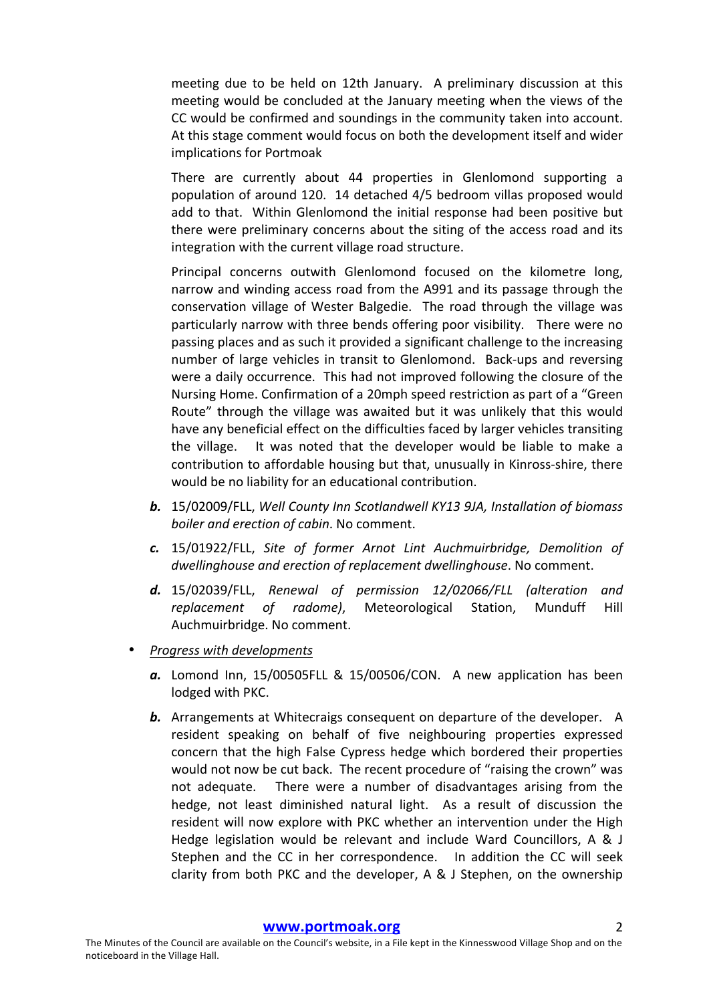meeting due to be held on 12th January. A preliminary discussion at this meeting would be concluded at the January meeting when the views of the CC would be confirmed and soundings in the community taken into account. At this stage comment would focus on both the development itself and wider implications for Portmoak

There are currently about 44 properties in Glenlomond supporting a population of around 120. 14 detached 4/5 bedroom villas proposed would add to that. Within Glenlomond the initial response had been positive but there were preliminary concerns about the siting of the access road and its integration with the current village road structure.

Principal concerns outwith Glenlomond focused on the kilometre long, narrow and winding access road from the A991 and its passage through the conservation village of Wester Balgedie. The road through the village was particularly narrow with three bends offering poor visibility. There were no passing places and as such it provided a significant challenge to the increasing number of large vehicles in transit to Glenlomond. Back-ups and reversing were a daily occurrence. This had not improved following the closure of the Nursing Home. Confirmation of a 20mph speed restriction as part of a "Green Route" through the village was awaited but it was unlikely that this would have any beneficial effect on the difficulties faced by larger vehicles transiting the village. It was noted that the developer would be liable to make a contribution to affordable housing but that, unusually in Kinross-shire, there would be no liability for an educational contribution.

- **b.** 15/02009/FLL, Well County Inn Scotlandwell KY13 9JA, Installation of biomass *boiler and erection of cabin.* No comment.
- **c.** 15/01922/FLL, Site of former Arnot Lint Auchmuirbridge, Demolition of dwellinghouse and erection of replacement dwellinghouse. No comment.
- d. 15/02039/FLL, Renewal of permission 12/02066/FLL (alteration and *replacement of radome)*, Meteorological Station, Munduff Hill Auchmuirbridge. No comment.
- **Progress with developments** 
	- a. Lomond Inn, 15/00505FLL & 15/00506/CON. A new application has been lodged with PKC.
	- **b.** Arrangements at Whitecraigs consequent on departure of the developer. A resident speaking on behalf of five neighbouring properties expressed concern that the high False Cypress hedge which bordered their properties would not now be cut back. The recent procedure of "raising the crown" was not adequate. There were a number of disadvantages arising from the hedge, not least diminished natural light. As a result of discussion the resident will now explore with PKC whether an intervention under the High Hedge legislation would be relevant and include Ward Councillors, A & J Stephen and the CC in her correspondence. In addition the CC will seek clarity from both PKC and the developer, A & J Stephen, on the ownership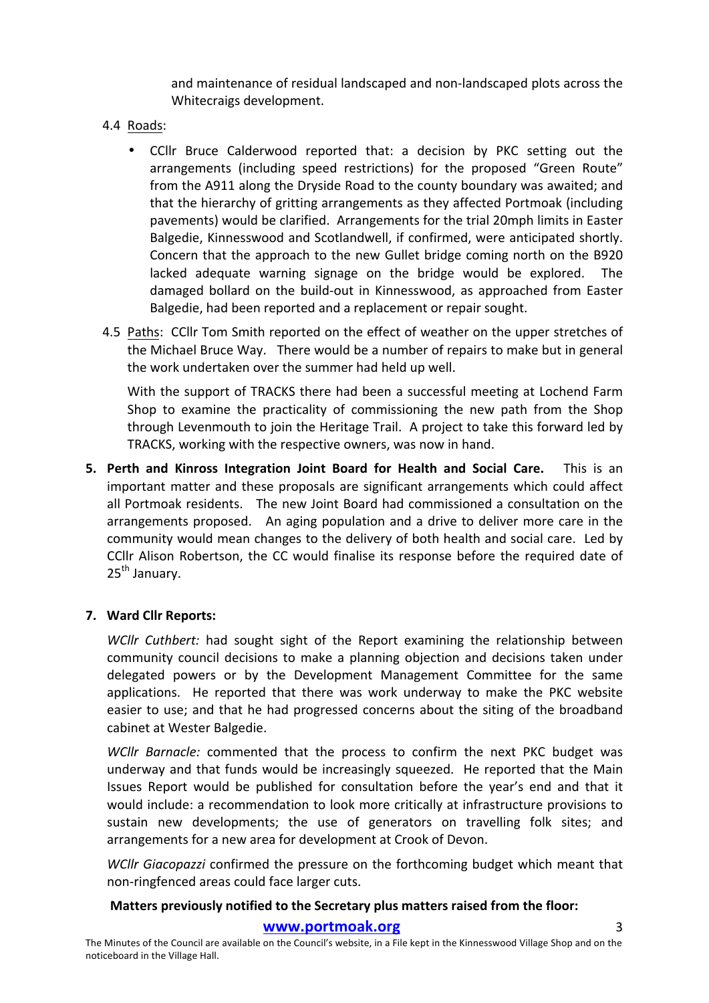and maintenance of residual landscaped and non-landscaped plots across the Whitecraigs development.

- 4.4 Roads:
	- CCllr Bruce Calderwood reported that: a decision by PKC setting out the arrangements (including speed restrictions) for the proposed "Green Route" from the A911 along the Dryside Road to the county boundary was awaited; and that the hierarchy of gritting arrangements as they affected Portmoak (including pavements) would be clarified. Arrangements for the trial 20mph limits in Easter Balgedie, Kinnesswood and Scotlandwell, if confirmed, were anticipated shortly. Concern that the approach to the new Gullet bridge coming north on the B920 lacked adequate warning signage on the bridge would be explored. The damaged bollard on the build-out in Kinnesswood, as approached from Easter Balgedie, had been reported and a replacement or repair sought.
- 4.5 Paths: CCllr Tom Smith reported on the effect of weather on the upper stretches of the Michael Bruce Way. There would be a number of repairs to make but in general the work undertaken over the summer had held up well.

With the support of TRACKS there had been a successful meeting at Lochend Farm Shop to examine the practicality of commissioning the new path from the Shop through Levenmouth to join the Heritage Trail. A project to take this forward led by TRACKS, working with the respective owners, was now in hand.

**5.** Perth and Kinross Integration Joint Board for Health and Social Care. This is an important matter and these proposals are significant arrangements which could affect all Portmoak residents. The new Joint Board had commissioned a consultation on the arrangements proposed. An aging population and a drive to deliver more care in the community would mean changes to the delivery of both health and social care. Led by CCIIr Alison Robertson, the CC would finalise its response before the required date of  $25<sup>th</sup>$  January.

### **7. Ward Cllr Reports:**

*WCllr Cuthbert:* had sought sight of the Report examining the relationship between community council decisions to make a planning objection and decisions taken under delegated powers or by the Development Management Committee for the same applications. He reported that there was work underway to make the PKC website easier to use; and that he had progressed concerns about the siting of the broadband cabinet at Wester Balgedie.

*WCllr Barnacle:* commented that the process to confirm the next PKC budget was underway and that funds would be increasingly squeezed. He reported that the Main Issues Report would be published for consultation before the year's end and that it would include: a recommendation to look more critically at infrastructure provisions to sustain new developments; the use of generators on travelling folk sites; and arrangements for a new area for development at Crook of Devon.

*WCllr Giacopazzi* confirmed the pressure on the forthcoming budget which meant that non-ringfenced areas could face larger cuts.

### Matters previously notified to the Secretary plus matters raised from the floor:

#### **www.portmoak.org** 3